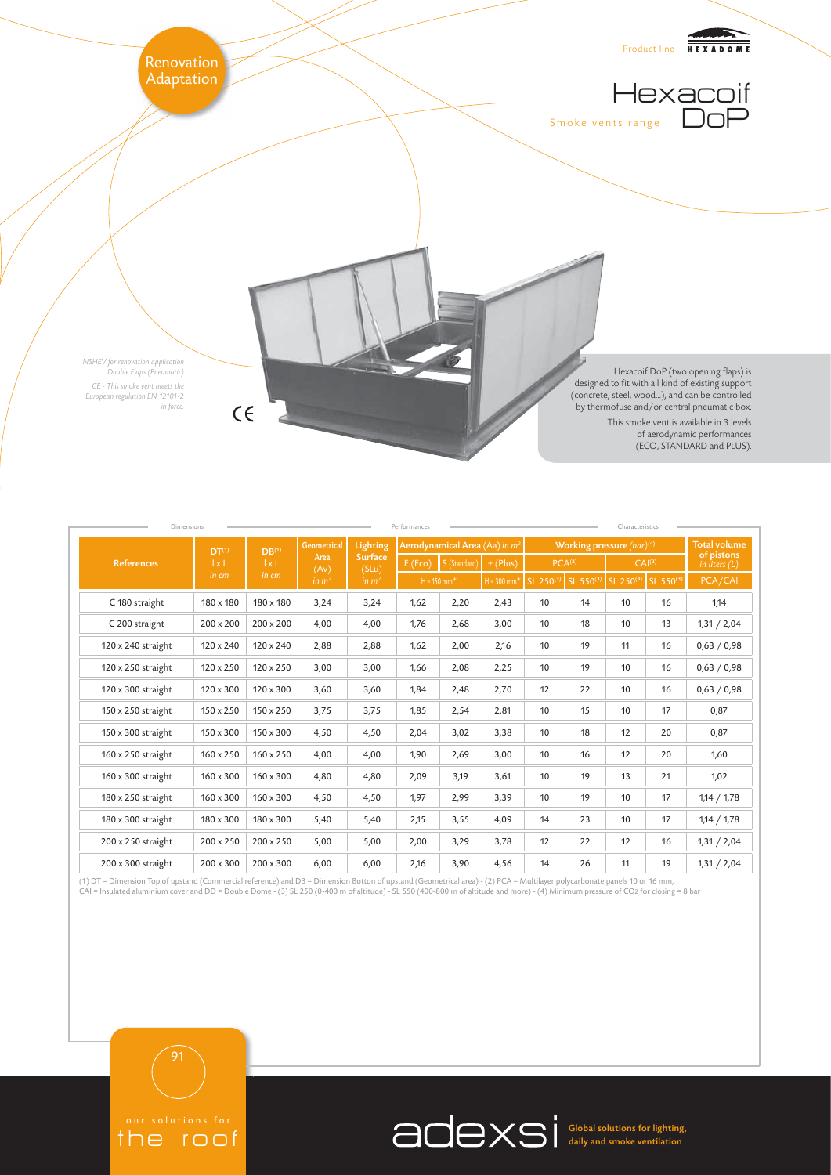

|                    | DT <sup>(1)</sup><br>$l \times L$<br>in cm | DB <sup>(1)</sup><br>$1 \times L$<br>in cm | <b>Geometrical</b><br>Area<br>(Av)<br>in m <sup>2</sup> | Lighting<br><b>Surface</b><br>(SLu)<br>in $m2$ | Aerodynamical Area (Aa) in m <sup>2</sup> |                        |               | Working pressure (bar) <sup>(4)</sup>    |    |    |                               | <b>Total volume</b> |
|--------------------|--------------------------------------------|--------------------------------------------|---------------------------------------------------------|------------------------------------------------|-------------------------------------------|------------------------|---------------|------------------------------------------|----|----|-------------------------------|---------------------|
| <b>References</b>  |                                            |                                            |                                                         |                                                |                                           | $E (Eco)$ S (Standard) | $+$ (Plus)    | PCA <sup>(2)</sup><br>CAI <sup>(2)</sup> |    |    | of pistons<br>in liters $(L)$ |                     |
|                    |                                            |                                            |                                                         |                                                | $H = 150$ mm <sup>*</sup>                 |                        | $H = 300$ mm* | SL 250(3) SL 550(3)                      |    |    | SL 250(3) SL 550(3)           | PCA/CAI             |
| C 180 straight     | 180 x 180                                  | 180 x 180                                  | 3,24                                                    | 3,24                                           | 1,62                                      | 2,20                   | 2,43          | 10                                       | 14 | 10 | 16                            | 1,14                |
| C 200 straight     | 200 x 200                                  | 200 x 200                                  | 4,00                                                    | 4,00                                           | 1,76                                      | 2,68                   | 3,00          | 10                                       | 18 | 10 | 13                            | 1,31 / 2,04         |
| 120 x 240 straight | 120 x 240                                  | 120 x 240                                  | 2,88                                                    | 2,88                                           | 1,62                                      | 2,00                   | 2,16          | 10                                       | 19 | 11 | 16                            | 0,63 / 0,98         |
| 120 x 250 straight | 120 x 250                                  | $120 \times 250$                           | 3,00                                                    | 3,00                                           | 1,66                                      | 2,08                   | 2,25          | 10                                       | 19 | 10 | 16                            | 0,63 / 0,98         |
| 120 x 300 straight | 120 x 300                                  | 120 x 300                                  | 3,60                                                    | 3,60                                           | 1,84                                      | 2,48                   | 2,70          | 12                                       | 22 | 10 | 16                            | 0,63 / 0,98         |
| 150 x 250 straight | 150 x 250                                  | $150 \times 250$                           | 3,75                                                    | 3,75                                           | 1,85                                      | 2,54                   | 2,81          | 10                                       | 15 | 10 | 17                            | 0,87                |
| 150 x 300 straight | 150 x 300                                  | 150 x 300                                  | 4,50                                                    | 4,50                                           | 2,04                                      | 3,02                   | 3,38          | 10                                       | 18 | 12 | 20                            | 0,87                |
| 160 x 250 straight | 160 x 250                                  | $160 \times 250$                           | 4,00                                                    | 4,00                                           | 1,90                                      | 2,69                   | 3,00          | 10                                       | 16 | 12 | 20                            | 1,60                |
| 160 x 300 straight | 160 x 300                                  | $160 \times 300$                           | 4,80                                                    | 4,80                                           | 2,09                                      | 3,19                   | 3,61          | 10                                       | 19 | 13 | 21                            | 1,02                |
| 180 x 250 straight | 160 x 300                                  | $160 \times 300$                           | 4,50                                                    | 4,50                                           | 1,97                                      | 2,99                   | 3,39          | 10                                       | 19 | 10 | 17                            | 1,14 / 1,78         |
| 180 x 300 straight | 180 x 300                                  | 180 x 300                                  | 5,40                                                    | 5,40                                           | 2,15                                      | 3,55                   | 4,09          | 14                                       | 23 | 10 | 17                            | 1,14 / 1,78         |
| 200 x 250 straight | 200 x 250                                  | $200 \times 250$                           | 5,00                                                    | 5,00                                           | 2,00                                      | 3,29                   | 3,78          | 12                                       | 22 | 12 | 16                            | 1,31 / 2,04         |
| 200 x 300 straight | $200 \times 300$                           | $200 \times 300$                           | 6,00                                                    | 6,00                                           | 2,16                                      | 3,90                   | 4,56          | 14                                       | 26 | 11 | 19                            | 1,31 / 2,04         |

(1) DT = Dimension Top of upstand (Commercial reference) and DB = Dimension Botton of upstand (Geometrical area) - (2) PCA = Multilayer polycarbonate panels 10 or 16 mm,<br>CAI = Insulated aluminium cover and DD = Double Dome





Global solutions for lighting, daily and smoke ventilation